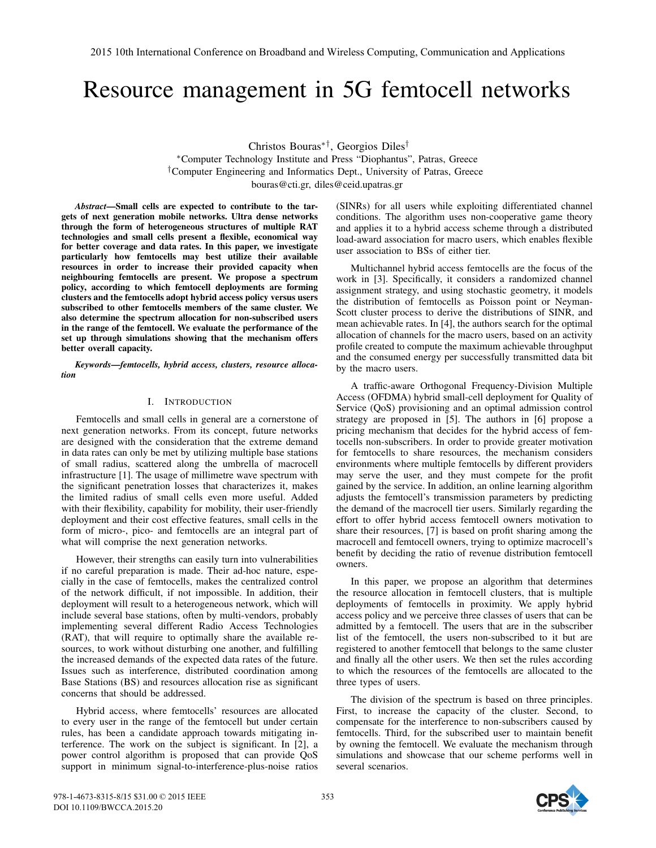# Resource management in 5G femtocell networks

Christos Bouras∗†, Georgios Diles†

∗Computer Technology Institute and Press "Diophantus", Patras, Greece †Computer Engineering and Informatics Dept., University of Patras, Greece bouras@cti.gr, diles@ceid.upatras.gr

*Abstract*—Small cells are expected to contribute to the targets of next generation mobile networks. Ultra dense networks through the form of heterogeneous structures of multiple RAT technologies and small cells present a flexible, economical way for better coverage and data rates. In this paper, we investigate particularly how femtocells may best utilize their available resources in order to increase their provided capacity when neighbouring femtocells are present. We propose a spectrum policy, according to which femtocell deployments are forming clusters and the femtocells adopt hybrid access policy versus users subscribed to other femtocells members of the same cluster. We also determine the spectrum allocation for non-subscribed users in the range of the femtocell. We evaluate the performance of the set up through simulations showing that the mechanism offers better overall capacity.

*Keywords*—*femtocells, hybrid access, clusters, resource allocation*

# I. INTRODUCTION

Femtocells and small cells in general are a cornerstone of next generation networks. From its concept, future networks are designed with the consideration that the extreme demand in data rates can only be met by utilizing multiple base stations of small radius, scattered along the umbrella of macrocell infrastructure [1]. The usage of millimetre wave spectrum with the significant penetration losses that characterizes it, makes the limited radius of small cells even more useful. Added with their flexibility, capability for mobility, their user-friendly deployment and their cost effective features, small cells in the form of micro-, pico- and femtocells are an integral part of what will comprise the next generation networks.

However, their strengths can easily turn into vulnerabilities if no careful preparation is made. Their ad-hoc nature, especially in the case of femtocells, makes the centralized control of the network difficult, if not impossible. In addition, their deployment will result to a heterogeneous network, which will include several base stations, often by multi-vendors, probably implementing several different Radio Access Technologies (RAT), that will require to optimally share the available resources, to work without disturbing one another, and fulfilling the increased demands of the expected data rates of the future. Issues such as interference, distributed coordination among Base Stations (BS) and resources allocation rise as significant concerns that should be addressed.

Hybrid access, where femtocells' resources are allocated to every user in the range of the femtocell but under certain rules, has been a candidate approach towards mitigating interference. The work on the subject is significant. In [2], a power control algorithm is proposed that can provide QoS support in minimum signal-to-interference-plus-noise ratios

(SINRs) for all users while exploiting differentiated channel conditions. The algorithm uses non-cooperative game theory and applies it to a hybrid access scheme through a distributed load-award association for macro users, which enables flexible user association to BSs of either tier.

Multichannel hybrid access femtocells are the focus of the work in [3]. Specifically, it considers a randomized channel assignment strategy, and using stochastic geometry, it models the distribution of femtocells as Poisson point or Neyman-Scott cluster process to derive the distributions of SINR, and mean achievable rates. In [4], the authors search for the optimal allocation of channels for the macro users, based on an activity profile created to compute the maximum achievable throughput and the consumed energy per successfully transmitted data bit by the macro users.

A traffic-aware Orthogonal Frequency-Division Multiple Access (OFDMA) hybrid small-cell deployment for Quality of Service (QoS) provisioning and an optimal admission control strategy are proposed in [5]. The authors in [6] propose a pricing mechanism that decides for the hybrid access of femtocells non-subscribers. In order to provide greater motivation for femtocells to share resources, the mechanism considers environments where multiple femtocells by different providers may serve the user, and they must compete for the profit gained by the service. In addition, an online learning algorithm adjusts the femtocell's transmission parameters by predicting the demand of the macrocell tier users. Similarly regarding the effort to offer hybrid access femtocell owners motivation to share their resources, [7] is based on profit sharing among the macrocell and femtocell owners, trying to optimize macrocell's benefit by deciding the ratio of revenue distribution femtocell owners.

In this paper, we propose an algorithm that determines the resource allocation in femtocell clusters, that is multiple deployments of femtocells in proximity. We apply hybrid access policy and we perceive three classes of users that can be admitted by a femtocell. The users that are in the subscriber list of the femtocell, the users non-subscribed to it but are registered to another femtocell that belongs to the same cluster and finally all the other users. We then set the rules according to which the resources of the femtocells are allocated to the three types of users.

The division of the spectrum is based on three principles. First, to increase the capacity of the cluster. Second, to compensate for the interference to non-subscribers caused by femtocells. Third, for the subscribed user to maintain benefit by owning the femtocell. We evaluate the mechanism through simulations and showcase that our scheme performs well in several scenarios.

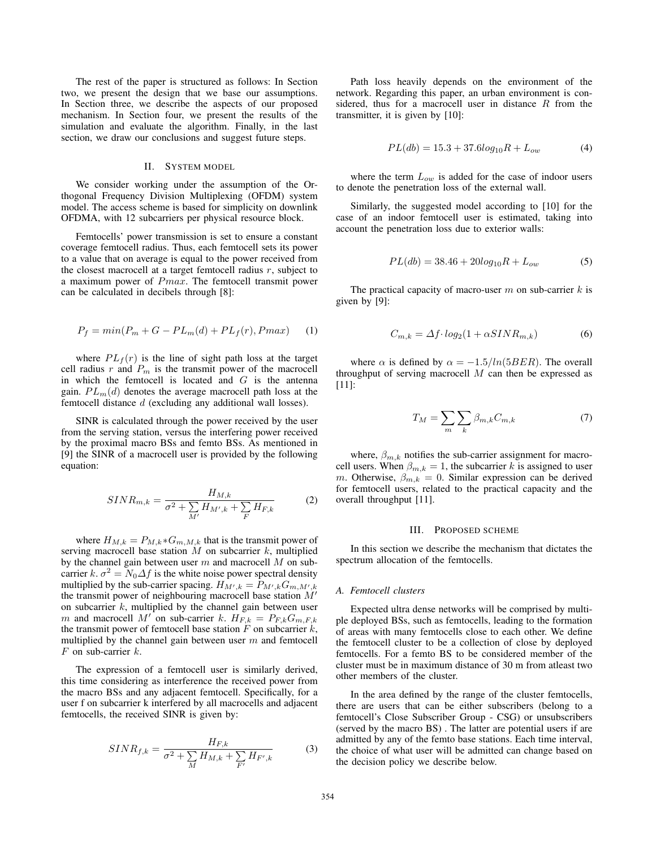The rest of the paper is structured as follows: In Section two, we present the design that we base our assumptions. In Section three, we describe the aspects of our proposed mechanism. In Section four, we present the results of the simulation and evaluate the algorithm. Finally, in the last section, we draw our conclusions and suggest future steps.

### II. SYSTEM MODEL

We consider working under the assumption of the Orthogonal Frequency Division Multiplexing (OFDM) system model. The access scheme is based for simplicity on downlink OFDMA, with 12 subcarriers per physical resource block.

Femtocells' power transmission is set to ensure a constant coverage femtocell radius. Thus, each femtocell sets its power to a value that on average is equal to the power received from the closest macrocell at a target femtocell radius  $r$ , subject to a maximum power of Pmax. The femtocell transmit power can be calculated in decibels through [8]:

$$
P_f = min(P_m + G - PL_m(d) + PL_f(r), Pmax)
$$
 (1)

where  $PL_f(r)$  is the line of sight path loss at the target cell radius r and  $P_m$  is the transmit power of the macrocell in which the femtocell is located and  $G$  is the antenna gain.  $PL_m(d)$  denotes the average macrocell path loss at the femtocell distance d (excluding any additional wall losses).

SINR is calculated through the power received by the user from the serving station, versus the interfering power received by the proximal macro BSs and femto BSs. As mentioned in [9] the SINR of a macrocell user is provided by the following equation:

$$
SINR_{m,k} = \frac{H_{M,k}}{\sigma^2 + \sum_{M'} H_{M',k} + \sum_{F} H_{F,k}} \tag{2}
$$

where  $H_{M,k} = P_{M,k} * G_{m,M,k}$  that is the transmit power of serving macrocell base station  $M$  on subcarrier  $k$ , multiplied by the channel gain between user  $m$  and macrocell  $M$  on subcarrier k.  $\sigma^2 = N_0 \Delta f$  is the white noise power spectral density multiplied by the sub-carrier spacing.  $H_{M',k} = P_{M',k} G_{m,M'}$ <br>the transmit power of neighbouring macrocall base station  $\Lambda$ the transmit power of neighbouring macrocell base station  $M'$ on subcarrier  $k$ , multiplied by the channel gain between user m and macrocell M' on sub-carrier k.  $H_{F,k} = P_{F,k} G_{m,F,k}$ <br>the transmit power of femtocell base station F on subcarrier k. the transmit power of femtocell base station  $F$  on subcarrier  $k$ , multiplied by the channel gain between user  $m$  and femtocell  $F$  on sub-carrier  $k$ .

The expression of a femtocell user is similarly derived, this time considering as interference the received power from the macro BSs and any adjacent femtocell. Specifically, for a user f on subcarrier k interfered by all macrocells and adjacent femtocells, the received SINR is given by:

$$
SINR_{f,k} = \frac{H_{F,k}}{\sigma^2 + \sum_{M} H_{M,k} + \sum_{F'} H_{F',k}} \tag{3}
$$

Path loss heavily depends on the environment of the network. Regarding this paper, an urban environment is considered, thus for a macrocell user in distance  $R$  from the transmitter, it is given by [10]:

$$
PL(db) = 15.3 + 37.6 log_{10}R + L_{ow}
$$
 (4)

where the term  $L_{ow}$  is added for the case of indoor users to denote the penetration loss of the external wall.

Similarly, the suggested model according to [10] for the case of an indoor femtocell user is estimated, taking into account the penetration loss due to exterior walls:

$$
PL(db) = 38.46 + 20log_{10}R + L_{ow}
$$
 (5)

The practical capacity of macro-user  $m$  on sub-carrier  $k$  is given by [9]:

$$
C_{m,k} = \Delta f \cdot log_2(1 + \alpha SINR_{m,k})
$$
 (6)

where  $\alpha$  is defined by  $\alpha = -1.5/\ln(5BER)$ . The overall throughput of serving macrocell  $M$  can then be expressed as [11]:

$$
T_M = \sum_{m} \sum_{k} \beta_{m,k} C_{m,k} \tag{7}
$$

where,  $\beta_{m,k}$  notifies the sub-carrier assignment for macrocell users. When  $\beta_{m,k} = 1$ , the subcarrier k is assigned to user m. Otherwise,  $\beta_{m,k} = 0$ . Similar expression can be derived for femtocell users, related to the practical capacity and the overall throughput [11].

## III. PROPOSED SCHEME

In this section we describe the mechanism that dictates the spectrum allocation of the femtocells.

## *A. Femtocell clusters*

Expected ultra dense networks will be comprised by multiple deployed BSs, such as femtocells, leading to the formation of areas with many femtocells close to each other. We define the femtocell cluster to be a collection of close by deployed femtocells. For a femto BS to be considered member of the cluster must be in maximum distance of 30 m from atleast two other members of the cluster.

In the area defined by the range of the cluster femtocells, there are users that can be either subscribers (belong to a femtocell's Close Subscriber Group - CSG) or unsubscribers (served by the macro BS) . The latter are potential users if are admitted by any of the femto base stations. Each time interval, the choice of what user will be admitted can change based on the decision policy we describe below.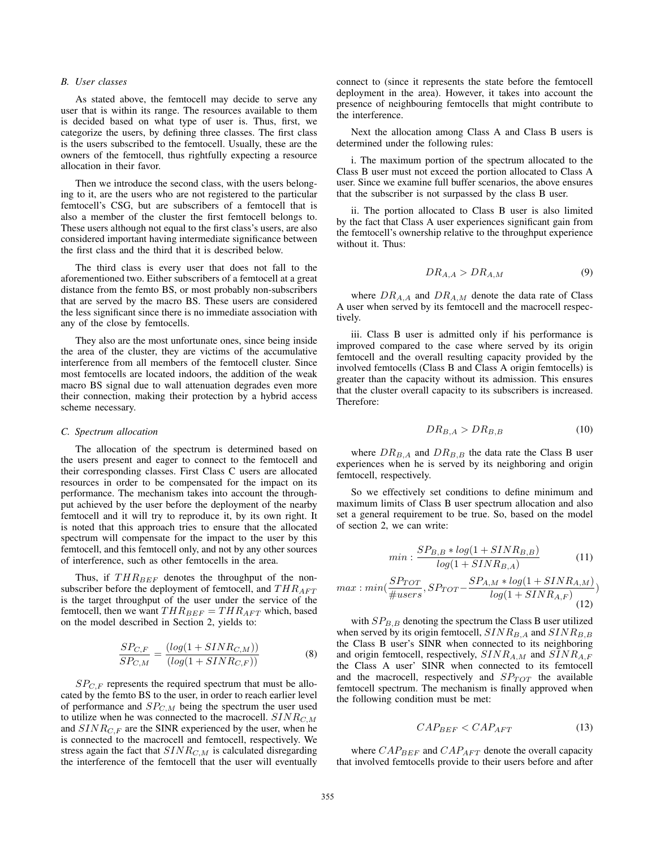# *B. User classes*

As stated above, the femtocell may decide to serve any user that is within its range. The resources available to them is decided based on what type of user is. Thus, first, we categorize the users, by defining three classes. The first class is the users subscribed to the femtocell. Usually, these are the owners of the femtocell, thus rightfully expecting a resource allocation in their favor.

Then we introduce the second class, with the users belonging to it, are the users who are not registered to the particular femtocell's CSG, but are subscribers of a femtocell that is also a member of the cluster the first femtocell belongs to. These users although not equal to the first class's users, are also considered important having intermediate significance between the first class and the third that it is described below.

The third class is every user that does not fall to the aforementioned two. Either subscribers of a femtocell at a great distance from the femto BS, or most probably non-subscribers that are served by the macro BS. These users are considered the less significant since there is no immediate association with any of the close by femtocells.

They also are the most unfortunate ones, since being inside the area of the cluster, they are victims of the accumulative interference from all members of the femtocell cluster. Since most femtocells are located indoors, the addition of the weak macro BS signal due to wall attenuation degrades even more their connection, making their protection by a hybrid access scheme necessary.

#### *C. Spectrum allocation*

The allocation of the spectrum is determined based on the users present and eager to connect to the femtocell and their corresponding classes. First Class C users are allocated resources in order to be compensated for the impact on its performance. The mechanism takes into account the throughput achieved by the user before the deployment of the nearby femtocell and it will try to reproduce it, by its own right. It is noted that this approach tries to ensure that the allocated spectrum will compensate for the impact to the user by this femtocell, and this femtocell only, and not by any other sources of interference, such as other femtocells in the area.

Thus, if  $THR_{BEF}$  denotes the throughput of the nonsubscriber before the deployment of femtocell, and  $THR_{AFT}$ is the target throughput of the user under the service of the femtocell, then we want  $THR_{BEF} = THR_{AFT}$  which, based on the model described in Section 2, yields to:

$$
\frac{SP_{C,F}}{SP_{C,M}} = \frac{(log(1 + SINR_{C,M}))}{(log(1 + SINR_{C,F}))}
$$
(8)

 $SP_{C,F}$  represents the required spectrum that must be allocated by the femto BS to the user, in order to reach earlier level of performance and  $SP_{C,M}$  being the spectrum the user used to utilize when he was connected to the macrocell.  $SINR_{C,M}$ and  $SINR_{C,F}$  are the SINR experienced by the user, when he is connected to the macrocell and femtocell, respectively. We stress again the fact that  $SINR_{C,M}$  is calculated disregarding the interference of the femtocell that the user will eventually

connect to (since it represents the state before the femtocell deployment in the area). However, it takes into account the presence of neighbouring femtocells that might contribute to the interference.

Next the allocation among Class A and Class B users is determined under the following rules:

i. The maximum portion of the spectrum allocated to the Class B user must not exceed the portion allocated to Class A user. Since we examine full buffer scenarios, the above ensures that the subscriber is not surpassed by the class B user.

ii. The portion allocated to Class B user is also limited by the fact that Class A user experiences significant gain from the femtocell's ownership relative to the throughput experience without it. Thus:

$$
DR_{A,A} > DR_{A,M} \tag{9}
$$

where  $DR_{A,A}$  and  $DR_{A,M}$  denote the data rate of Class A user when served by its femtocell and the macrocell respectively.

iii. Class B user is admitted only if his performance is improved compared to the case where served by its origin femtocell and the overall resulting capacity provided by the involved femtocells (Class B and Class A origin femtocells) is greater than the capacity without its admission. This ensures that the cluster overall capacity to its subscribers is increased. Therefore:

$$
DR_{B,A} > DR_{B,B} \tag{10}
$$

where  $DR_{B,A}$  and  $DR_{B,B}$  the data rate the Class B user experiences when he is served by its neighboring and origin femtocell, respectively.

So we effectively set conditions to define minimum and maximum limits of Class B user spectrum allocation and also set a general requirement to be true. So, based on the model of section 2, we can write:

$$
min: \frac{SP_{B,B} * log(1 + SINR_{B,B})}{log(1 + SINR_{B,A})}
$$
(11)

$$
max: min(\frac{SP_{TOT}}{\#users}, SP_{TOT} - \frac{SP_{A,M} * log(1 + SINR_{A,M})}{log(1 + SINR_{A,F})})
$$
\n(12)

with  $SP_{B,B}$  denoting the spectrum the Class B user utilized when served by its origin femtocell,  $SINR_{B,A}$  and  $SINR_{B,B}$ the Class B user's SINR when connected to its neighboring and origin femtocell, respectively,  $SINR_{A,M}$  and  $SINR_{A,F}$ the Class A user' SINR when connected to its femtocell and the macrocell, respectively and  $SP_{TOT}$  the available femtocell spectrum. The mechanism is finally approved when the following condition must be met:

$$
CAP_{BEF} < CAP_{AFT} \tag{13}
$$

where  $CAP_{BEF}$  and  $CAP_{AFT}$  denote the overall capacity that involved femtocells provide to their users before and after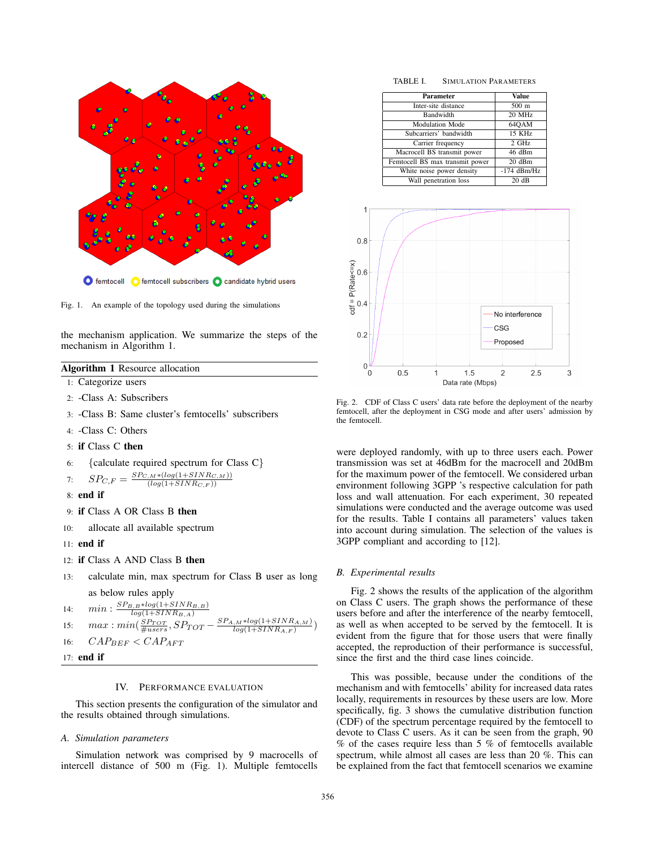

Fig. 1. An example of the topology used during the simulations

the mechanism application. We summarize the steps of the mechanism in Algorithm 1.

| <b>Algorithm 1</b> Resource allocation                                                                    |
|-----------------------------------------------------------------------------------------------------------|
| 1: Categorize users                                                                                       |
| 2: -Class A: Subscribers                                                                                  |
| 3: -Class B: Same cluster's femtocells' subscribers                                                       |
| 4: -Class C: Others                                                                                       |
| 5: if Class C then                                                                                        |
| {calculate required spectrum for Class C}<br>6:                                                           |
| 7: $SP_{C,F} = \frac{SP_{C,M} * (log(1+SINR_{C,M}))}{(log(1+SINR_{C,F}))}$                                |
| $8:$ end if                                                                                               |
| 9: if Class A OR Class B then                                                                             |
| allocate all available spectrum<br>10:                                                                    |
| $11:$ end if                                                                                              |
| 12: if Class A AND Class B then                                                                           |
| calculate min, max spectrum for Class B user as long<br>13:                                               |
| as below rules apply                                                                                      |
| $min: \frac{SP_{B,B}*log(1+SINR_{B,B})}{log(1+SINR_{B,A})}$<br>14:                                        |
| 15: $max: min(\frac{SP_{TOT}}{\#users}, SP_{TOT} - \frac{SP_{A,M}*log(1+SINR_{A,M})}{log(1+SINR_{A,N})})$ |
| $CAP_{BEF} < CAP_{AFT}$<br>16:                                                                            |
|                                                                                                           |

17: end if

# IV. PERFORMANCE EVALUATION

This section presents the configuration of the simulator and the results obtained through simulations.

## *A. Simulation parameters*

Simulation network was comprised by 9 macrocells of intercell distance of 500 m (Fig. 1). Multiple femtocells

TABLE I. SIMULATION PARAMETERS

| Parameter                       | Value           |
|---------------------------------|-----------------|
| Inter-site distance             | $500 \text{ m}$ |
| Bandwidth                       | 20 MHz          |
| Modulation Mode                 | 64OAM           |
| Subcarriers' bandwidth          | 15 KHz          |
| Carrier frequency               | $2$ GHz         |
| Macrocell BS transmit power     | 46 dBm          |
| Femtocell BS max transmit power | $20$ dBm        |
| White noise power density       | $-174$ dBm/Hz   |
| Wall penetration loss           | 20dB            |



Fig. 2. CDF of Class C users' data rate before the deployment of the nearby femtocell, after the deployment in CSG mode and after users' admission by the femtocell.

were deployed randomly, with up to three users each. Power transmission was set at 46dBm for the macrocell and 20dBm for the maximum power of the femtocell. We considered urban environment following 3GPP 's respective calculation for path loss and wall attenuation. For each experiment, 30 repeated simulations were conducted and the average outcome was used for the results. Table I contains all parameters' values taken into account during simulation. The selection of the values is 3GPP compliant and according to [12].

## *B. Experimental results*

Fig. 2 shows the results of the application of the algorithm on Class C users. The graph shows the performance of these users before and after the interference of the nearby femtocell, as well as when accepted to be served by the femtocell. It is evident from the figure that for those users that were finally accepted, the reproduction of their performance is successful, since the first and the third case lines coincide.

This was possible, because under the conditions of the mechanism and with femtocells' ability for increased data rates locally, requirements in resources by these users are low. More specifically, fig. 3 shows the cumulative distribution function (CDF) of the spectrum percentage required by the femtocell to devote to Class C users. As it can be seen from the graph, 90 % of the cases require less than 5 % of femtocells available spectrum, while almost all cases are less than 20 %. This can be explained from the fact that femtocell scenarios we examine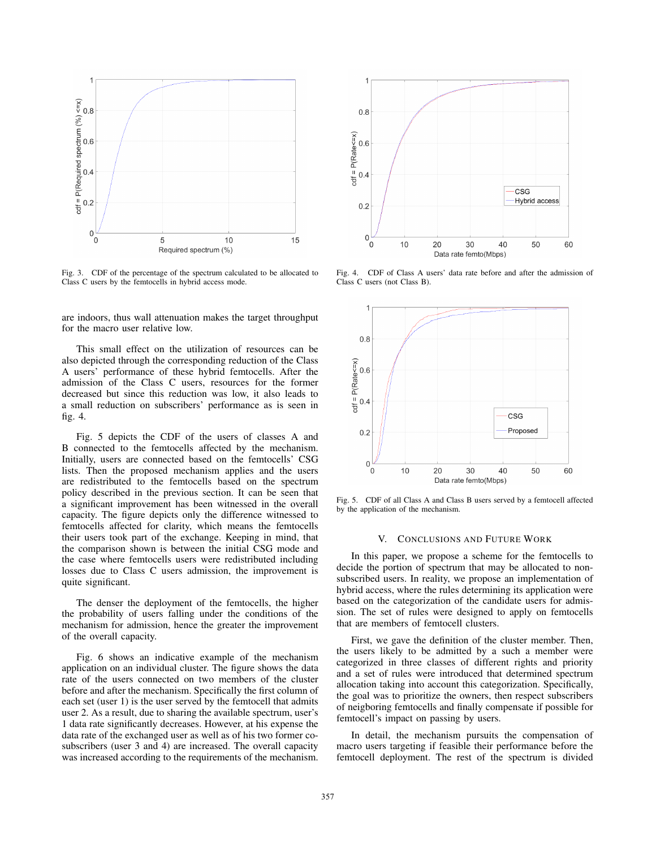

Fig. 3. CDF of the percentage of the spectrum calculated to be allocated to Class C users by the femtocells in hybrid access mode.

are indoors, thus wall attenuation makes the target throughput for the macro user relative low.

This small effect on the utilization of resources can be also depicted through the corresponding reduction of the Class A users' performance of these hybrid femtocells. After the admission of the Class C users, resources for the former decreased but since this reduction was low, it also leads to a small reduction on subscribers' performance as is seen in fig. 4.

Fig. 5 depicts the CDF of the users of classes A and B connected to the femtocells affected by the mechanism. Initially, users are connected based on the femtocells' CSG lists. Then the proposed mechanism applies and the users are redistributed to the femtocells based on the spectrum policy described in the previous section. It can be seen that a significant improvement has been witnessed in the overall capacity. The figure depicts only the difference witnessed to femtocells affected for clarity, which means the femtocells their users took part of the exchange. Keeping in mind, that the comparison shown is between the initial CSG mode and the case where femtocells users were redistributed including losses due to Class C users admission, the improvement is quite significant.

The denser the deployment of the femtocells, the higher the probability of users falling under the conditions of the mechanism for admission, hence the greater the improvement of the overall capacity.

Fig. 6 shows an indicative example of the mechanism application on an individual cluster. The figure shows the data rate of the users connected on two members of the cluster before and after the mechanism. Specifically the first column of each set (user 1) is the user served by the femtocell that admits user 2. As a result, due to sharing the available spectrum, user's 1 data rate significantly decreases. However, at his expense the data rate of the exchanged user as well as of his two former cosubscribers (user 3 and 4) are increased. The overall capacity was increased according to the requirements of the mechanism.



Fig. 4. CDF of Class A users' data rate before and after the admission of Class C users (not Class B).



Fig. 5. CDF of all Class A and Class B users served by a femtocell affected by the application of the mechanism.

### V. CONCLUSIONS AND FUTURE WORK

In this paper, we propose a scheme for the femtocells to decide the portion of spectrum that may be allocated to nonsubscribed users. In reality, we propose an implementation of hybrid access, where the rules determining its application were based on the categorization of the candidate users for admission. The set of rules were designed to apply on femtocells that are members of femtocell clusters.

First, we gave the definition of the cluster member. Then, the users likely to be admitted by a such a member were categorized in three classes of different rights and priority and a set of rules were introduced that determined spectrum allocation taking into account this categorization. Specifically, the goal was to prioritize the owners, then respect subscribers of neigboring femtocells and finally compensate if possible for femtocell's impact on passing by users.

In detail, the mechanism pursuits the compensation of macro users targeting if feasible their performance before the femtocell deployment. The rest of the spectrum is divided